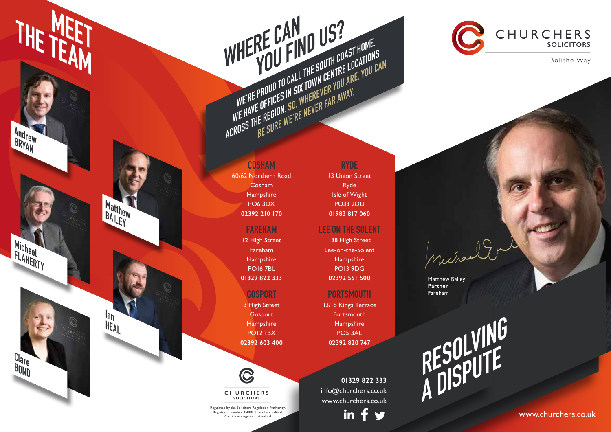**Matthew BAILEY**

**Ian HEAL**

**Clare BOND**

THE TEAM

**Andrew BRYAN** 

**COSHAM** 60/62 Northern Road Cosham **Hampshire** PO6 3DX **02392 210 170**

## **FAREHAM**

12 High Street Fareham Hampshire PO16 7BL **01329 822 333**

### **GOSPORT**

3 High Street Gosport Hampshire PO12 1BX **02392 603 400**



CHURCHERS SOLICITORS

Regulated by the Solicitors Regulation Authority. Registered number 45008. Lexcel accredited. Practice management standard.

**RYDE** 13 Union Street Ryde Isle of Wight PO33 2DU

WE PROUD TO CALL THE SOUTH COAST HOME.<br>WE'RE PROUD TO CALL THE SOUTH COAST HOME.<br>WE'RE PROUD TO CALL THE SOUTH COAST HOME.<br>WE'HAVE OFFICES IN SIX TOWN CENTRE LOCATIONS<br>CROSS THE REGION. SO, WHEREVER FAR AWAY.

**01983 817 060**

#### **LEE ON THE SOLENT**

138 High Street Lee-on-the-Solent Hampshire PO13 9DG **02392 551 500**

#### **PORTSMOUTH**

13/18 Kings Terrace Portsmouth **Hampshire** PO5 3AL **02392 820 747**

**01329 822 333** info@churchers.co.uk www.churchers.co.uk

in



CHURCHERS **SOLICITORS** 

Bolitho Way

Matthew Bailey **Partner** Fareham

Miche

**RESOLVING A DISPUTE** 

www.churchers.co.uk